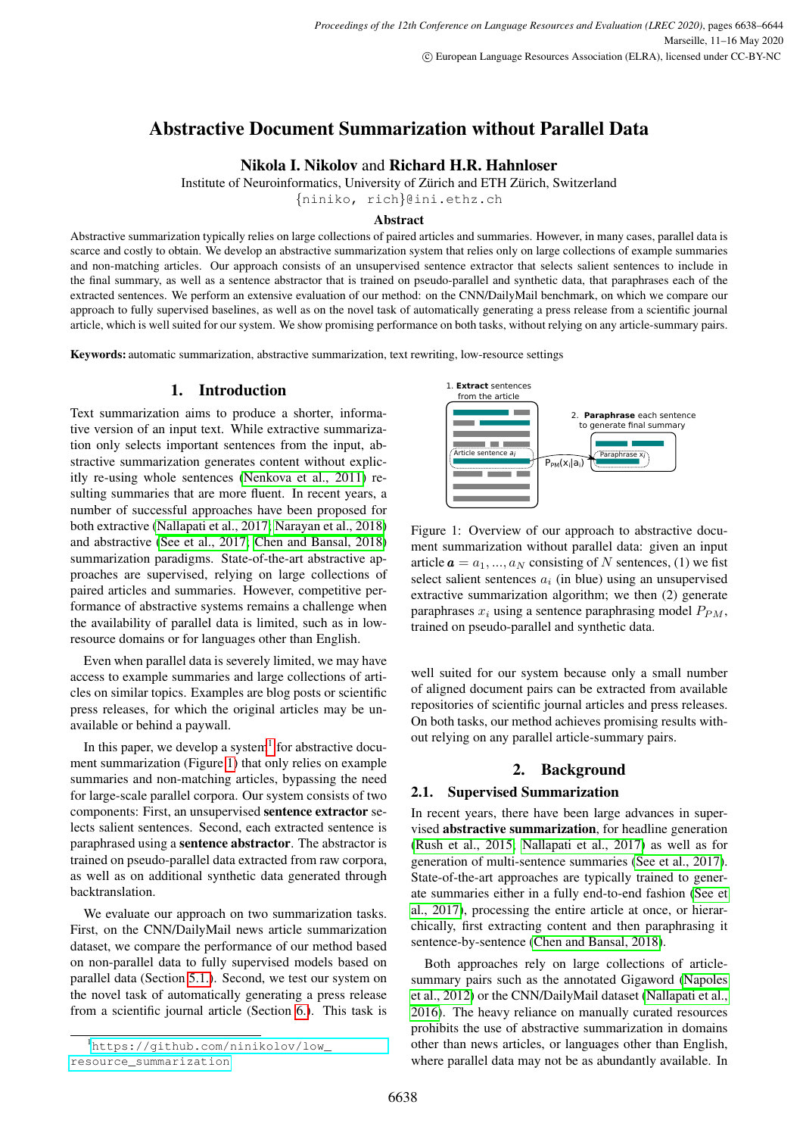# Abstractive Document Summarization without Parallel Data

# Nikola I. Nikolov and Richard H.R. Hahnloser

Institute of Neuroinformatics, University of Zürich and ETH Zürich, Switzerland

{niniko, rich}@ini.ethz.ch

#### Abstract

Abstractive summarization typically relies on large collections of paired articles and summaries. However, in many cases, parallel data is scarce and costly to obtain. We develop an abstractive summarization system that relies only on large collections of example summaries and non-matching articles. Our approach consists of an unsupervised sentence extractor that selects salient sentences to include in the final summary, as well as a sentence abstractor that is trained on pseudo-parallel and synthetic data, that paraphrases each of the extracted sentences. We perform an extensive evaluation of our method: on the CNN/DailyMail benchmark, on which we compare our approach to fully supervised baselines, as well as on the novel task of automatically generating a press release from a scientific journal article, which is well suited for our system. We show promising performance on both tasks, without relying on any article-summary pairs.

Keywords: automatic summarization, abstractive summarization, text rewriting, low-resource settings

## 1. Introduction

Text summarization aims to produce a shorter, informative version of an input text. While extractive summarization only selects important sentences from the input, abstractive summarization generates content without explicitly re-using whole sentences [\(Nenkova et al., 2011\)](#page-6-0) resulting summaries that are more fluent. In recent years, a number of successful approaches have been proposed for both extractive [\(Nallapati et al., 2017;](#page-5-0) [Narayan et al., 2018\)](#page-6-1) and abstractive [\(See et al., 2017;](#page-6-2) [Chen and Bansal, 2018\)](#page-5-1) summarization paradigms. State-of-the-art abstractive approaches are supervised, relying on large collections of paired articles and summaries. However, competitive performance of abstractive systems remains a challenge when the availability of parallel data is limited, such as in lowresource domains or for languages other than English.

Even when parallel data is severely limited, we may have access to example summaries and large collections of articles on similar topics. Examples are blog posts or scientific press releases, for which the original articles may be unavailable or behind a paywall.

In this paper, we develop a system $<sup>1</sup>$  $<sup>1</sup>$  $<sup>1</sup>$  for abstractive docu-</sup> ment summarization (Figure [1\)](#page-0-1) that only relies on example summaries and non-matching articles, bypassing the need for large-scale parallel corpora. Our system consists of two components: First, an unsupervised sentence extractor selects salient sentences. Second, each extracted sentence is paraphrased using a sentence abstractor. The abstractor is trained on pseudo-parallel data extracted from raw corpora, as well as on additional synthetic data generated through backtranslation.

We evaluate our approach on two summarization tasks. First, on the CNN/DailyMail news article summarization dataset, we compare the performance of our method based on non-parallel data to fully supervised models based on parallel data (Section [5.1.\)](#page-3-0). Second, we test our system on the novel task of automatically generating a press release from a scientific journal article (Section [6.\)](#page-3-1). This task is

<span id="page-0-1"></span>

Figure 1: Overview of our approach to abstractive document summarization without parallel data: given an input article  $\mathbf{a} = a_1, ..., a_N$  consisting of N sentences, (1) we fist select salient sentences  $a_i$  (in blue) using an unsupervised extractive summarization algorithm; we then (2) generate paraphrases  $x_i$  using a sentence paraphrasing model  $P_{PM}$ , trained on pseudo-parallel and synthetic data.

well suited for our system because only a small number of aligned document pairs can be extracted from available repositories of scientific journal articles and press releases. On both tasks, our method achieves promising results without relying on any parallel article-summary pairs.

# 2. Background

#### 2.1. Supervised Summarization

In recent years, there have been large advances in supervised abstractive summarization, for headline generation [\(Rush et al., 2015;](#page-6-3) [Nallapati et al., 2017\)](#page-5-0) as well as for generation of multi-sentence summaries [\(See et al., 2017\)](#page-6-2). State-of-the-art approaches are typically trained to generate summaries either in a fully end-to-end fashion [\(See et](#page-6-2) [al., 2017\)](#page-6-2), processing the entire article at once, or hierarchically, first extracting content and then paraphrasing it sentence-by-sentence [\(Chen and Bansal, 2018\)](#page-5-1).

Both approaches rely on large collections of articlesummary pairs such as the annotated Gigaword [\(Napoles](#page-6-4) [et al., 2012\)](#page-6-4) or the CNN/DailyMail dataset [\(Nallapati et al.,](#page-5-2) [2016\)](#page-5-2). The heavy reliance on manually curated resources prohibits the use of abstractive summarization in domains other than news articles, or languages other than English, where parallel data may not be as abundantly available. In

<span id="page-0-0"></span><sup>1</sup>[https://github.com/ninikolov/low\\_](https://github.com/ninikolov/low_resource_summarization) [resource\\_summarization](https://github.com/ninikolov/low_resource_summarization)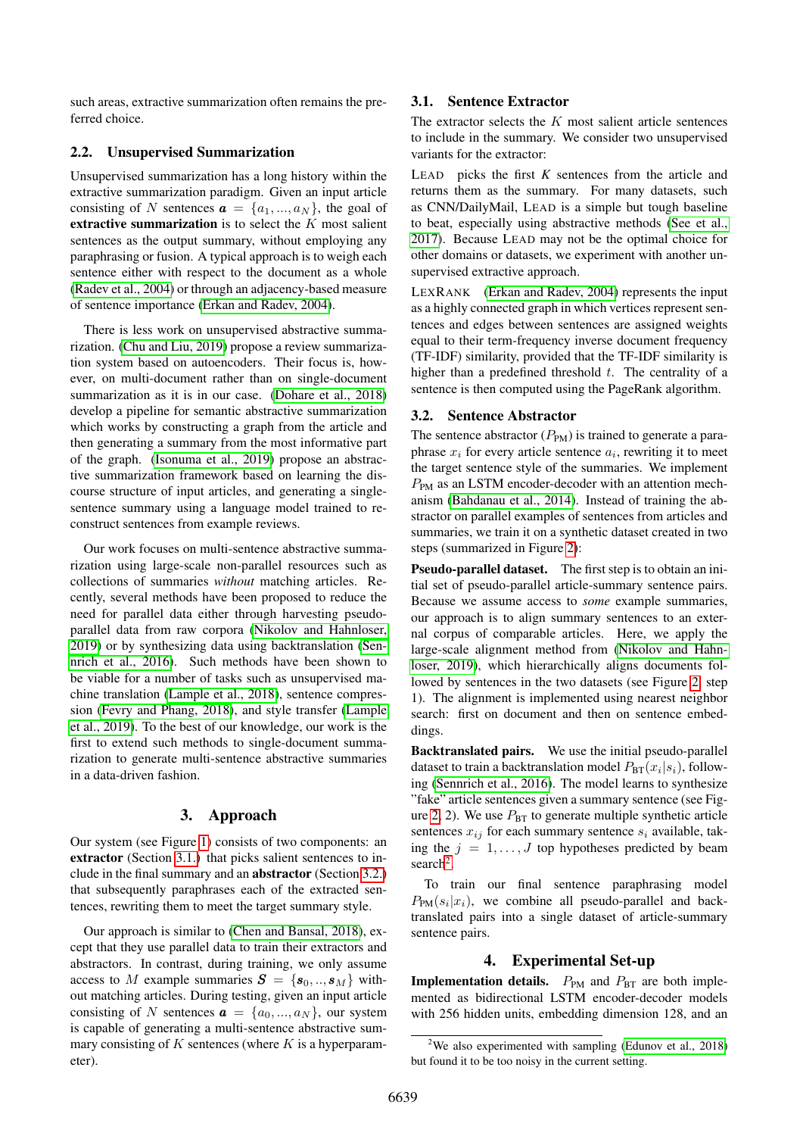such areas, extractive summarization often remains the preferred choice.

#### 2.2. Unsupervised Summarization

Unsupervised summarization has a long history within the extractive summarization paradigm. Given an input article consisting of N sentences  $\mathbf{a} = \{a_1, ..., a_N\}$ , the goal of extractive summarization is to select the  $K$  most salient sentences as the output summary, without employing any paraphrasing or fusion. A typical approach is to weigh each sentence either with respect to the document as a whole [\(Radev et al., 2004\)](#page-6-5) or through an adjacency-based measure of sentence importance [\(Erkan and Radev, 2004\)](#page-5-3).

There is less work on unsupervised abstractive summarization. [\(Chu and Liu, 2019\)](#page-5-4) propose a review summarization system based on autoencoders. Their focus is, however, on multi-document rather than on single-document summarization as it is in our case. [\(Dohare et al., 2018\)](#page-5-5) develop a pipeline for semantic abstractive summarization which works by constructing a graph from the article and then generating a summary from the most informative part of the graph. [\(Isonuma et al., 2019\)](#page-5-6) propose an abstractive summarization framework based on learning the discourse structure of input articles, and generating a singlesentence summary using a language model trained to reconstruct sentences from example reviews.

Our work focuses on multi-sentence abstractive summarization using large-scale non-parallel resources such as collections of summaries *without* matching articles. Recently, several methods have been proposed to reduce the need for parallel data either through harvesting pseudoparallel data from raw corpora [\(Nikolov and Hahnloser,](#page-6-6) [2019\)](#page-6-6) or by synthesizing data using backtranslation [\(Sen](#page-6-7)[nrich et al., 2016\)](#page-6-7). Such methods have been shown to be viable for a number of tasks such as unsupervised machine translation [\(Lample et al., 2018\)](#page-5-7), sentence compression [\(Fevry and Phang, 2018\)](#page-5-8), and style transfer [\(Lample](#page-5-9) [et al., 2019\)](#page-5-9). To the best of our knowledge, our work is the first to extend such methods to single-document summarization to generate multi-sentence abstractive summaries in a data-driven fashion.

#### 3. Approach

Our system (see Figure [1\)](#page-0-1) consists of two components: an extractor (Section [3.1.\)](#page-1-0) that picks salient sentences to include in the final summary and an abstractor (Section [3.2.\)](#page-1-1) that subsequently paraphrases each of the extracted sentences, rewriting them to meet the target summary style.

Our approach is similar to [\(Chen and Bansal, 2018\)](#page-5-1), except that they use parallel data to train their extractors and abstractors. In contrast, during training, we only assume access to M example summaries  $S = \{s_0, ..., s_M\}$  without matching articles. During testing, given an input article consisting of N sentences  $\mathbf{a} = \{a_0, ..., a_N\}$ , our system is capable of generating a multi-sentence abstractive summary consisting of  $K$  sentences (where  $K$  is a hyperparameter).

#### <span id="page-1-0"></span>3.1. Sentence Extractor

The extractor selects the  $K$  most salient article sentences to include in the summary. We consider two unsupervised variants for the extractor:

LEAD picks the first *K* sentences from the article and returns them as the summary. For many datasets, such as CNN/DailyMail, LEAD is a simple but tough baseline to beat, especially using abstractive methods [\(See et al.,](#page-6-2) [2017\)](#page-6-2). Because LEAD may not be the optimal choice for other domains or datasets, we experiment with another unsupervised extractive approach.

LEXRANK [\(Erkan and Radev, 2004\)](#page-5-3) represents the input as a highly connected graph in which vertices represent sentences and edges between sentences are assigned weights equal to their term-frequency inverse document frequency (TF-IDF) similarity, provided that the TF-IDF similarity is higher than a predefined threshold  $t$ . The centrality of a sentence is then computed using the PageRank algorithm.

#### <span id="page-1-1"></span>3.2. Sentence Abstractor

The sentence abstractor  $(P_{PM})$  is trained to generate a paraphrase  $x_i$  for every article sentence  $a_i$ , rewriting it to meet the target sentence style of the summaries. We implement  $P_{PM}$  as an LSTM encoder-decoder with an attention mechanism [\(Bahdanau et al., 2014\)](#page-5-10). Instead of training the abstractor on parallel examples of sentences from articles and summaries, we train it on a synthetic dataset created in two steps (summarized in Figure [2\)](#page-2-0):

Pseudo-parallel dataset. The first step is to obtain an initial set of pseudo-parallel article-summary sentence pairs. Because we assume access to *some* example summaries, our approach is to align summary sentences to an external corpus of comparable articles. Here, we apply the large-scale alignment method from [\(Nikolov and Hahn](#page-6-6)[loser, 2019\)](#page-6-6), which hierarchically aligns documents followed by sentences in the two datasets (see Figure [2,](#page-2-0) step 1). The alignment is implemented using nearest neighbor search: first on document and then on sentence embeddings.

Backtranslated pairs. We use the initial pseudo-parallel dataset to train a backtranslation model  $P_{\text{BT}}(x_i|s_i)$ , following [\(Sennrich et al., 2016\)](#page-6-7). The model learns to synthesize "fake" article sentences given a summary sentence (see Fig-ure [2,](#page-2-0) 2). We use  $P_{\text{BT}}$  to generate multiple synthetic article sentences  $x_{ij}$  for each summary sentence  $s_i$  available, taking the  $j = 1, \ldots, J$  top hypotheses predicted by beam search<sup>[2](#page-1-2)</sup>.

To train our final sentence paraphrasing model  $P_{PM}(s_i|x_i)$ , we combine all pseudo-parallel and backtranslated pairs into a single dataset of article-summary sentence pairs.

#### 4. Experimental Set-up

**Implementation details.**  $P_{PM}$  and  $P_{BT}$  are both implemented as bidirectional LSTM encoder-decoder models with 256 hidden units, embedding dimension 128, and an

<span id="page-1-2"></span><sup>&</sup>lt;sup>2</sup>We also experimented with sampling [\(Edunov et al., 2018\)](#page-5-11) but found it to be too noisy in the current setting.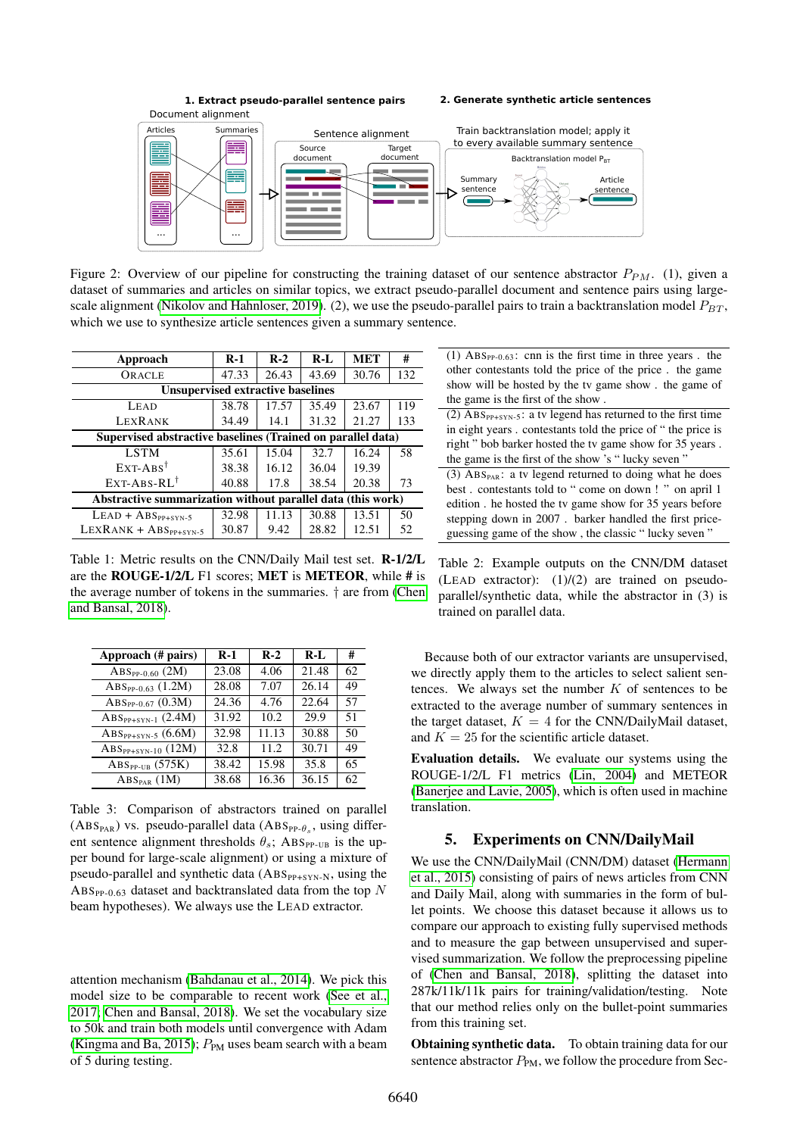<span id="page-2-0"></span>

Figure 2: Overview of our pipeline for constructing the training dataset of our sentence abstractor  $P_{PM}$ . (1), given a dataset of summaries and articles on similar topics, we extract pseudo-parallel document and sentence pairs using large-scale alignment [\(Nikolov and Hahnloser, 2019\)](#page-6-6). (2), we use the pseudo-parallel pairs to train a backtranslation model  $P_{BT}$ , which we use to synthesize article sentences given a summary sentence.

<span id="page-2-1"></span>

| Approach                                                    | $R-1$ | $R-2$ | $R-I$ | <b>MET</b> | #   |
|-------------------------------------------------------------|-------|-------|-------|------------|-----|
| ORACLE                                                      | 47.33 | 26.43 | 43.69 | 30.76      | 132 |
| <b>Unsupervised extractive baselines</b>                    |       |       |       |            |     |
| LEAD                                                        | 38.78 | 17.57 | 35.49 | 23.67      | 119 |
| <b>LEXRANK</b>                                              | 34.49 | 14.1  | 31.32 | 21.27      | 133 |
| Supervised abstractive baselines (Trained on parallel data) |       |       |       |            |     |
| <b>LSTM</b>                                                 | 35.61 | 15.04 | 32.7  | 16.24      | 58  |
| $EXT-ABS^{\dagger}$                                         | 38.38 | 16.12 | 36.04 | 19.39      |     |
| $EXT-ABS-RI^{\dagger}$                                      | 40.88 | 17.8  | 38.54 | 20.38      | 73  |
| Abstractive summarization without parallel data (this work) |       |       |       |            |     |
| $LEAD + ABS_{PP+SYN-5}$                                     | 32.98 | 11.13 | 30.88 | 13.51      | 50  |
| $LEXRANK + ABS_{PP+SYN-5}$                                  | 30.87 | 9.42  | 28.82 | 12.51      | 52  |
|                                                             |       |       |       |            |     |

Table 1: Metric results on the CNN/Daily Mail test set. R-1/2/L are the ROUGE-1/2/L F1 scores; MET is METEOR, while # is the average number of tokens in the summaries. † are from [\(Chen](#page-5-1) [and Bansal, 2018\)](#page-5-1).

<span id="page-2-2"></span>

| Approach (# pairs)         | $R-1$ | $R-2$ | $R-I$ | #  |
|----------------------------|-------|-------|-------|----|
| $ABS_{PP-0.60}$ (2M)       | 23.08 | 4.06  | 21.48 | 62 |
| $ABS_{PP-0.63}$ (1.2M)     | 28.08 | 7.07  | 26.14 | 49 |
| $ABS_{PP-0.67}$ (0.3M)     | 24.36 | 4.76  | 22.64 | 57 |
| $ABSPP+SYN-1$ (2.4M)       | 31.92 | 10.2  | 29.9  | 51 |
| $ABSPP+SYN-5$ (6.6M)       | 32.98 | 11.13 | 30.88 | 50 |
| $ABSPP+SYN-10 (12M)$       | 32.8  | 11.2  | 30.71 | 49 |
| $ABSPP-UB$ (575K)          | 38.42 | 15.98 | 35.8  | 65 |
| $\rm{ABS}_{\rm{PAR}}$ (1M) | 38.68 | 16.36 | 36.15 | 62 |

Table 3: Comparison of abstractors trained on parallel  $(ABS<sub>PAR</sub>)$  vs. pseudo-parallel data  $(ABS<sub>PP-θ<sub>s</sub></sub>,$  using different sentence alignment thresholds  $\theta_s$ ; ABS<sub>PP-UB</sub> is the upper bound for large-scale alignment) or using a mixture of pseudo-parallel and synthetic data  $(ABS_{PP+SYN-N},$  using the ABS<sub>PP-0.63</sub> dataset and backtranslated data from the top N beam hypotheses). We always use the LEAD extractor.

attention mechanism [\(Bahdanau et al., 2014\)](#page-5-10). We pick this model size to be comparable to recent work [\(See et al.,](#page-6-2) [2017;](#page-6-2) [Chen and Bansal, 2018\)](#page-5-1). We set the vocabulary size to 50k and train both models until convergence with Adam [\(Kingma and Ba, 2015\)](#page-5-12);  $P_{PM}$  uses beam search with a beam of 5 during testing.

| (1) $\text{ABS}_{\text{PP-0.63}}$ : cnn is the first time in three years. the |
|-------------------------------------------------------------------------------|
| other contestants told the price of the price. the game                       |
| show will be hosted by the tv game show. the game of                          |
| the game is the first of the show.                                            |
| (2) $\text{ABS}_{PP+SYN-5}$ : a tv legend has returned to the first time      |
| in eight years. contestants told the price of "the price is                   |
| right" bob barker hosted the tv game show for 35 years.                       |
| the game is the first of the show 's "lucky seven"                            |
| (3) $\text{ABS}_{\text{PAR}}$ : a tv legend returned to doing what he does    |
| best. contestants told to "come on down!" on april 1                          |
| edition. he hosted the tv game show for 35 years before                       |
| stepping down in 2007. barker handled the first price-                        |
| guessing game of the show, the classic "lucky seven"                          |

Table 2: Example outputs on the CNN/DM dataset (LEAD extractor):  $(1)/(2)$  are trained on pseudoparallel/synthetic data, while the abstractor in (3) is trained on parallel data.

Because both of our extractor variants are unsupervised, we directly apply them to the articles to select salient sentences. We always set the number  $K$  of sentences to be extracted to the average number of summary sentences in the target dataset,  $K = 4$  for the CNN/DailyMail dataset, and  $K = 25$  for the scientific article dataset.

Evaluation details. We evaluate our systems using the ROUGE-1/2/L F1 metrics [\(Lin, 2004\)](#page-5-13) and METEOR [\(Banerjee and Lavie, 2005\)](#page-5-14), which is often used in machine translation.

### 5. Experiments on CNN/DailyMail

We use the CNN/DailyMail (CNN/DM) dataset [\(Hermann](#page-5-15) [et al., 2015\)](#page-5-15) consisting of pairs of news articles from CNN and Daily Mail, along with summaries in the form of bullet points. We choose this dataset because it allows us to compare our approach to existing fully supervised methods and to measure the gap between unsupervised and supervised summarization. We follow the preprocessing pipeline of [\(Chen and Bansal, 2018\)](#page-5-1), splitting the dataset into 287k/11k/11k pairs for training/validation/testing. Note that our method relies only on the bullet-point summaries from this training set.

Obtaining synthetic data. To obtain training data for our sentence abstractor  $P_{PM}$ , we follow the procedure from Sec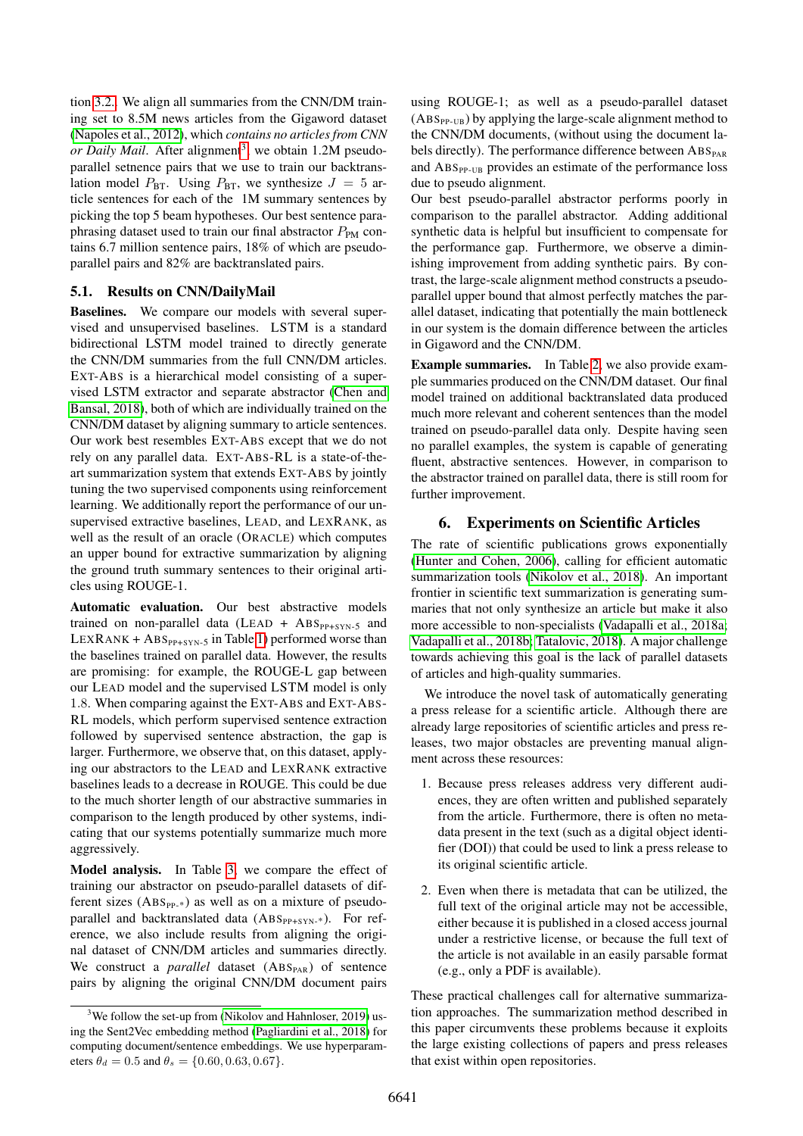tion [3.2..](#page-1-1) We align all summaries from the CNN/DM training set to 8.5M news articles from the Gigaword dataset [\(Napoles et al., 2012\)](#page-6-4), which *contains no articles from CNN* or Daily Mail. After alignment<sup>[3](#page-3-2)</sup>, we obtain 1.2M pseudoparallel setnence pairs that we use to train our backtranslation model  $P_{\text{BT}}$ . Using  $P_{\text{BT}}$ , we synthesize  $J = 5$  article sentences for each of the 1M summary sentences by picking the top 5 beam hypotheses. Our best sentence paraphrasing dataset used to train our final abstractor  $P_{PM}$  contains 6.7 million sentence pairs, 18% of which are pseudoparallel pairs and 82% are backtranslated pairs.

## <span id="page-3-0"></span>5.1. Results on CNN/DailyMail

Baselines. We compare our models with several supervised and unsupervised baselines. LSTM is a standard bidirectional LSTM model trained to directly generate the CNN/DM summaries from the full CNN/DM articles. EXT-ABS is a hierarchical model consisting of a supervised LSTM extractor and separate abstractor [\(Chen and](#page-5-1) [Bansal, 2018\)](#page-5-1), both of which are individually trained on the CNN/DM dataset by aligning summary to article sentences. Our work best resembles EXT-ABS except that we do not rely on any parallel data. EXT-ABS-RL is a state-of-theart summarization system that extends EXT-ABS by jointly tuning the two supervised components using reinforcement learning. We additionally report the performance of our unsupervised extractive baselines, LEAD, and LEXRANK, as well as the result of an oracle (ORACLE) which computes an upper bound for extractive summarization by aligning the ground truth summary sentences to their original articles using ROUGE-1.

Automatic evaluation. Our best abstractive models trained on non-parallel data (LEAD +  $\text{ABS}_{\text{PP+SYN-5}}$  and  $LEXRANK + ABS_{PP+SYN-5}$  in Table [1\)](#page-2-1) performed worse than the baselines trained on parallel data. However, the results are promising: for example, the ROUGE-L gap between our LEAD model and the supervised LSTM model is only 1.8. When comparing against the EXT-ABS and EXT-ABS-RL models, which perform supervised sentence extraction followed by supervised sentence abstraction, the gap is larger. Furthermore, we observe that, on this dataset, applying our abstractors to the LEAD and LEXRANK extractive baselines leads to a decrease in ROUGE. This could be due to the much shorter length of our abstractive summaries in comparison to the length produced by other systems, indicating that our systems potentially summarize much more aggressively.

Model analysis. In Table [3,](#page-2-2) we compare the effect of training our abstractor on pseudo-parallel datasets of different sizes  $(ABS_{PP-*})$  as well as on a mixture of pseudoparallel and backtranslated data  $(ABS_{PP+SYN-*})$ . For reference, we also include results from aligning the original dataset of CNN/DM articles and summaries directly. We construct a *parallel* dataset (ABS<sub>PAR</sub>) of sentence pairs by aligning the original CNN/DM document pairs

using ROUGE-1; as well as a pseudo-parallel dataset  $(ABS<sub>PP-UB</sub>)$  by applying the large-scale alignment method to the CNN/DM documents, (without using the document labels directly). The performance difference between  $\rm{ABS}_{\rm{PAR}}$ and ABS<sub>PP-UB</sub> provides an estimate of the performance loss due to pseudo alignment.

Our best pseudo-parallel abstractor performs poorly in comparison to the parallel abstractor. Adding additional synthetic data is helpful but insufficient to compensate for the performance gap. Furthermore, we observe a diminishing improvement from adding synthetic pairs. By contrast, the large-scale alignment method constructs a pseudoparallel upper bound that almost perfectly matches the parallel dataset, indicating that potentially the main bottleneck in our system is the domain difference between the articles in Gigaword and the CNN/DM.

Example summaries. In Table [2,](#page-2-1) we also provide example summaries produced on the CNN/DM dataset. Our final model trained on additional backtranslated data produced much more relevant and coherent sentences than the model trained on pseudo-parallel data only. Despite having seen no parallel examples, the system is capable of generating fluent, abstractive sentences. However, in comparison to the abstractor trained on parallel data, there is still room for further improvement.

# <span id="page-3-1"></span>6. Experiments on Scientific Articles

The rate of scientific publications grows exponentially [\(Hunter and Cohen, 2006\)](#page-5-16), calling for efficient automatic summarization tools [\(Nikolov et al., 2018\)](#page-6-9). An important frontier in scientific text summarization is generating summaries that not only synthesize an article but make it also more accessible to non-specialists [\(Vadapalli et al., 2018a;](#page-6-10) [Vadapalli et al., 2018b;](#page-6-11) [Tatalovic, 2018\)](#page-6-12). A major challenge towards achieving this goal is the lack of parallel datasets of articles and high-quality summaries.

We introduce the novel task of automatically generating a press release for a scientific article. Although there are already large repositories of scientific articles and press releases, two major obstacles are preventing manual alignment across these resources:

- 1. Because press releases address very different audiences, they are often written and published separately from the article. Furthermore, there is often no metadata present in the text (such as a digital object identifier (DOI)) that could be used to link a press release to its original scientific article.
- 2. Even when there is metadata that can be utilized, the full text of the original article may not be accessible, either because it is published in a closed access journal under a restrictive license, or because the full text of the article is not available in an easily parsable format (e.g., only a PDF is available).

These practical challenges call for alternative summarization approaches. The summarization method described in this paper circumvents these problems because it exploits the large existing collections of papers and press releases that exist within open repositories.

<span id="page-3-2"></span> $3$ We follow the set-up from [\(Nikolov and Hahnloser, 2019\)](#page-6-6) using the Sent2Vec embedding method [\(Pagliardini et al., 2018\)](#page-6-8) for computing document/sentence embeddings. We use hyperparameters  $\theta_d = 0.5$  and  $\theta_s = \{0.60, 0.63, 0.67\}.$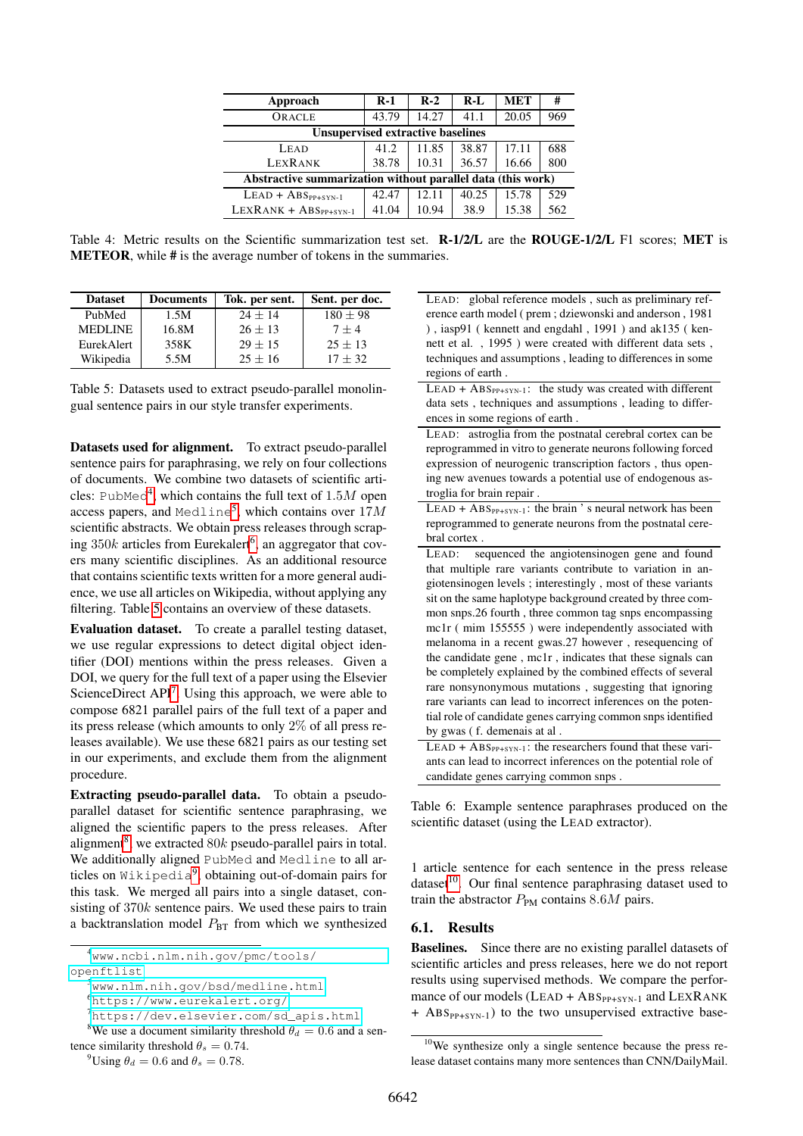| Approach                                                    | $R-1$ | $R-2$ | $R-I$ | <b>MET</b> | #   |
|-------------------------------------------------------------|-------|-------|-------|------------|-----|
| ORACLE                                                      | 43.79 | 14.27 | 41.1  | 20.05      | 969 |
| <b>Unsupervised extractive baselines</b>                    |       |       |       |            |     |
| LEAD                                                        | 41.2  | 11.85 | 38.87 | 17.11      | 688 |
| <b>LEXRANK</b>                                              | 38.78 | 10.31 | 36.57 | 16.66      | 800 |
| Abstractive summarization without parallel data (this work) |       |       |       |            |     |
| $LEAD + ABS_{PP+SYN-1}$                                     | 42.47 | 12.11 | 40.25 | 15.78      | 529 |
| $LEXRANK + ABS_{PP+SYN-1}$                                  | 41.04 | 10.94 | 38.9  | 15.38      | 562 |

<span id="page-4-8"></span>Table 4: Metric results on the Scientific summarization test set. R-1/2/L are the ROUGE-1/2/L F1 scores; MET is METEOR, while # is the average number of tokens in the summaries.

<span id="page-4-3"></span>

| <b>Dataset</b> | <b>Documents</b> | Tok. per sent. | Sent. per doc. |
|----------------|------------------|----------------|----------------|
| PubMed         | 1.5M             | $24 + 14$      | $180 + 98$     |
| <b>MEDLINE</b> | 16.8M            | $26 + 13$      | $7 + 4$        |
| EurekAlert     | 358K             | $29 + 15$      | $25 + 13$      |
| Wikipedia      | 5.5M             | $25 + 16$      | $17 + 32$      |

Table 5: Datasets used to extract pseudo-parallel monolingual sentence pairs in our style transfer experiments.

Datasets used for alignment. To extract pseudo-parallel sentence pairs for paraphrasing, we rely on four collections of documents. We combine two datasets of scientific arti-cles: PubMed<sup>[4](#page-4-0)</sup>, which contains the full text of  $1.5M$  open access papers, and  $\text{Medline}^5$  $\text{Medline}^5$ , which contains over  $17M$ scientific abstracts. We obtain press releases through scraping  $350k$  articles from Eurekalert<sup>[6](#page-4-2)</sup>, an aggregator that covers many scientific disciplines. As an additional resource that contains scientific texts written for a more general audience, we use all articles on Wikipedia, without applying any filtering. Table [5](#page-4-3) contains an overview of these datasets.

Evaluation dataset. To create a parallel testing dataset, we use regular expressions to detect digital object identifier (DOI) mentions within the press releases. Given a DOI, we query for the full text of a paper using the Elsevier ScienceDirect API<sup>[7](#page-4-4)</sup>. Using this approach, we were able to compose 6821 parallel pairs of the full text of a paper and its press release (which amounts to only 2% of all press releases available). We use these 6821 pairs as our testing set in our experiments, and exclude them from the alignment procedure.

Extracting pseudo-parallel data. To obtain a pseudoparallel dataset for scientific sentence paraphrasing, we aligned the scientific papers to the press releases. After alignment<sup>[8](#page-4-5)</sup>, we extracted  $80k$  pseudo-parallel pairs in total. We additionally aligned PubMed and Medline to all articles on Wikipedia[9](#page-4-6) , obtaining out-of-domain pairs for this task. We merged all pairs into a single dataset, consisting of 370k sentence pairs. We used these pairs to train a backtranslation model  $P_{BT}$  from which we synthesized

<span id="page-4-0"></span><sup>4</sup>[www.ncbi.nlm.nih.gov/pmc/tools/](www.ncbi.nlm.nih.gov/pmc/tools/openftlist)

```
www.nlm.nih.gov/bsd/medline.html
```
<span id="page-4-4"></span><span id="page-4-2"></span><sup>6</sup><https://www.eurekalert.org/>

<span id="page-4-5"></span><sup>7</sup>[https://dev.elsevier.com/sd\\_apis.html](https://dev.elsevier.com/sd_apis.html) <sup>8</sup>We use a document similarity threshold  $\theta_d = 0.6$  and a sentence similarity threshold  $\theta_s = 0.74$ .

<span id="page-4-6"></span><sup>9</sup>Using  $\theta_d = 0.6$  and  $\theta_s = 0.78$ .

<span id="page-4-9"></span>LEAD: global reference models , such as preliminary reference earth model ( prem ; dziewonski and anderson , 1981 ) , iasp91 ( kennett and engdahl , 1991 ) and ak135 ( kennett et al. , 1995 ) were created with different data sets , techniques and assumptions , leading to differences in some regions of earth .

- $LEAD + ABS_{PP+SYN-1}$ : the study was created with different data sets , techniques and assumptions , leading to differences in some regions of earth .
- LEAD: astroglia from the postnatal cerebral cortex can be reprogrammed in vitro to generate neurons following forced expression of neurogenic transcription factors , thus opening new avenues towards a potential use of endogenous astroglia for brain repair .

 $LEAD + ABS_{PP+SYN-1}$ : the brain 's neural network has been reprogrammed to generate neurons from the postnatal cerebral cortex

LEAD: sequenced the angiotensinogen gene and found that multiple rare variants contribute to variation in angiotensinogen levels ; interestingly , most of these variants sit on the same haplotype background created by three common snps.26 fourth , three common tag snps encompassing mc1r ( mim 155555 ) were independently associated with melanoma in a recent gwas.27 however , resequencing of the candidate gene , mc1r , indicates that these signals can be completely explained by the combined effects of several rare nonsynonymous mutations , suggesting that ignoring rare variants can lead to incorrect inferences on the potential role of candidate genes carrying common snps identified by gwas ( f. demenais at al .

 $LEAD + ABS_{PP+SYN-1}$ : the researchers found that these variants can lead to incorrect inferences on the potential role of candidate genes carrying common snps .

Table 6: Example sentence paraphrases produced on the scientific dataset (using the LEAD extractor).

1 article sentence for each sentence in the press release dataset<sup>[10](#page-4-7)</sup>. Our final sentence paraphrasing dataset used to train the abstractor  $P_{PM}$  contains 8.6M pairs.

#### 6.1. Results

Baselines. Since there are no existing parallel datasets of scientific articles and press releases, here we do not report results using supervised methods. We compare the performance of our models (LEAD +  $\text{ABS}_{\text{PP+SYN-1}}$  and LEXRANK  $+$  ABS<sub>PP+SYN-1</sub>) to the two unsupervised extractive base-

[openftlist](www.ncbi.nlm.nih.gov/pmc/tools/openftlist)

<span id="page-4-7"></span><sup>10</sup>We synthesize only a single sentence because the press release dataset contains many more sentences than CNN/DailyMail.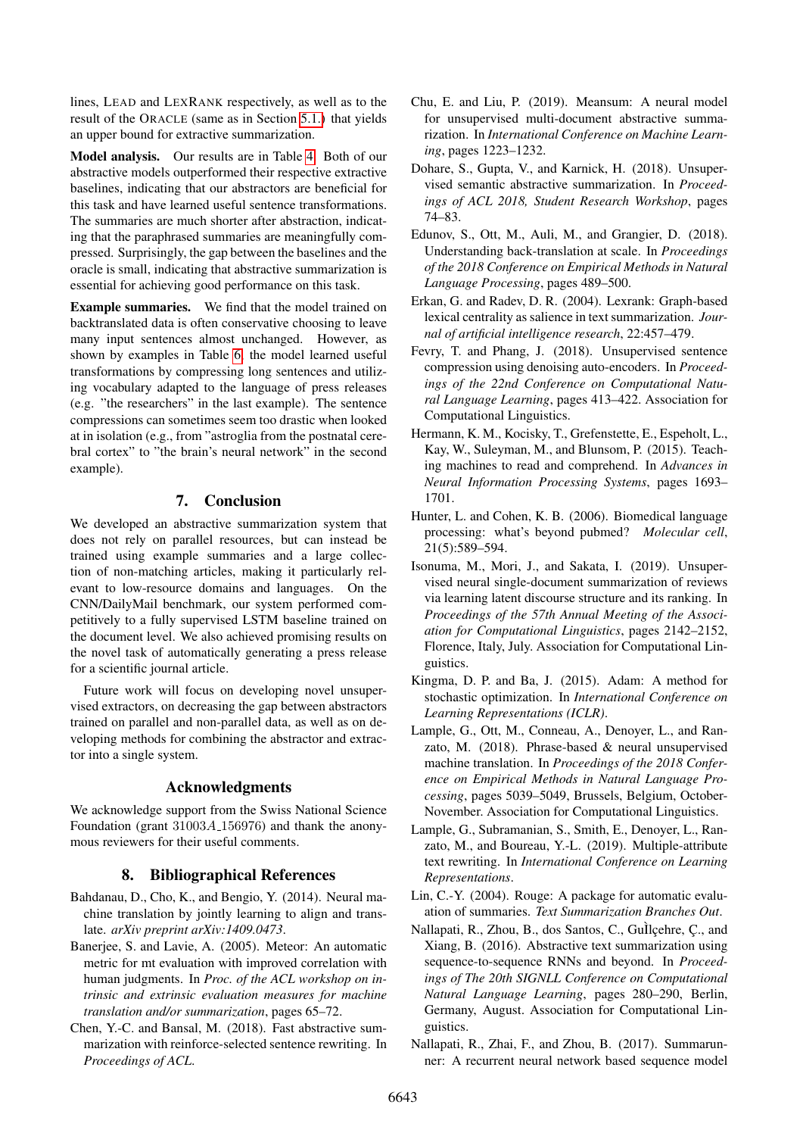lines, LEAD and LEXRANK respectively, as well as to the result of the ORACLE (same as in Section [5.1.\)](#page-3-0) that yields an upper bound for extractive summarization.

Model analysis. Our results are in Table [4.](#page-4-8) Both of our abstractive models outperformed their respective extractive baselines, indicating that our abstractors are beneficial for this task and have learned useful sentence transformations. The summaries are much shorter after abstraction, indicating that the paraphrased summaries are meaningfully compressed. Surprisingly, the gap between the baselines and the oracle is small, indicating that abstractive summarization is essential for achieving good performance on this task.

Example summaries. We find that the model trained on backtranslated data is often conservative choosing to leave many input sentences almost unchanged. However, as shown by examples in Table [6,](#page-4-9) the model learned useful transformations by compressing long sentences and utilizing vocabulary adapted to the language of press releases (e.g. "the researchers" in the last example). The sentence compressions can sometimes seem too drastic when looked at in isolation (e.g., from "astroglia from the postnatal cerebral cortex" to "the brain's neural network" in the second example).

# 7. Conclusion

We developed an abstractive summarization system that does not rely on parallel resources, but can instead be trained using example summaries and a large collection of non-matching articles, making it particularly relevant to low-resource domains and languages. On the CNN/DailyMail benchmark, our system performed competitively to a fully supervised LSTM baseline trained on the document level. We also achieved promising results on the novel task of automatically generating a press release for a scientific journal article.

Future work will focus on developing novel unsupervised extractors, on decreasing the gap between abstractors trained on parallel and non-parallel data, as well as on developing methods for combining the abstractor and extractor into a single system.

## Acknowledgments

We acknowledge support from the Swiss National Science Foundation (grant 31003A 156976) and thank the anonymous reviewers for their useful comments.

## 8. Bibliographical References

- <span id="page-5-10"></span>Bahdanau, D., Cho, K., and Bengio, Y. (2014). Neural machine translation by jointly learning to align and translate. *arXiv preprint arXiv:1409.0473*.
- <span id="page-5-14"></span>Banerjee, S. and Lavie, A. (2005). Meteor: An automatic metric for mt evaluation with improved correlation with human judgments. In *Proc. of the ACL workshop on intrinsic and extrinsic evaluation measures for machine translation and/or summarization*, pages 65–72.
- <span id="page-5-1"></span>Chen, Y.-C. and Bansal, M. (2018). Fast abstractive summarization with reinforce-selected sentence rewriting. In *Proceedings of ACL*.
- <span id="page-5-4"></span>Chu, E. and Liu, P. (2019). Meansum: A neural model for unsupervised multi-document abstractive summarization. In *International Conference on Machine Learning*, pages 1223–1232.
- <span id="page-5-5"></span>Dohare, S., Gupta, V., and Karnick, H. (2018). Unsupervised semantic abstractive summarization. In *Proceedings of ACL 2018, Student Research Workshop*, pages 74–83.
- <span id="page-5-11"></span>Edunov, S., Ott, M., Auli, M., and Grangier, D. (2018). Understanding back-translation at scale. In *Proceedings of the 2018 Conference on Empirical Methods in Natural Language Processing*, pages 489–500.
- <span id="page-5-3"></span>Erkan, G. and Radev, D. R. (2004). Lexrank: Graph-based lexical centrality as salience in text summarization. *Journal of artificial intelligence research*, 22:457–479.
- <span id="page-5-8"></span>Fevry, T. and Phang, J. (2018). Unsupervised sentence compression using denoising auto-encoders. In *Proceedings of the 22nd Conference on Computational Natural Language Learning*, pages 413–422. Association for Computational Linguistics.
- <span id="page-5-15"></span>Hermann, K. M., Kocisky, T., Grefenstette, E., Espeholt, L., Kay, W., Suleyman, M., and Blunsom, P. (2015). Teaching machines to read and comprehend. In *Advances in Neural Information Processing Systems*, pages 1693– 1701.
- <span id="page-5-16"></span>Hunter, L. and Cohen, K. B. (2006). Biomedical language processing: what's beyond pubmed? *Molecular cell*, 21(5):589–594.
- <span id="page-5-6"></span>Isonuma, M., Mori, J., and Sakata, I. (2019). Unsupervised neural single-document summarization of reviews via learning latent discourse structure and its ranking. In *Proceedings of the 57th Annual Meeting of the Association for Computational Linguistics*, pages 2142–2152, Florence, Italy, July. Association for Computational Linguistics.
- <span id="page-5-12"></span>Kingma, D. P. and Ba, J. (2015). Adam: A method for stochastic optimization. In *International Conference on Learning Representations (ICLR)*.
- <span id="page-5-7"></span>Lample, G., Ott, M., Conneau, A., Denoyer, L., and Ranzato, M. (2018). Phrase-based & neural unsupervised machine translation. In *Proceedings of the 2018 Conference on Empirical Methods in Natural Language Processing*, pages 5039–5049, Brussels, Belgium, October-November. Association for Computational Linguistics.
- <span id="page-5-9"></span>Lample, G., Subramanian, S., Smith, E., Denoyer, L., Ranzato, M., and Boureau, Y.-L. (2019). Multiple-attribute text rewriting. In *International Conference on Learning Representations*.
- <span id="page-5-13"></span>Lin, C.-Y. (2004). Rouge: A package for automatic evaluation of summaries. *Text Summarization Branches Out*.
- <span id="page-5-2"></span>Nallapati, R., Zhou, B., dos Santos, C., GuÌlcehre, C., and Xiang, B. (2016). Abstractive text summarization using sequence-to-sequence RNNs and beyond. In *Proceedings of The 20th SIGNLL Conference on Computational Natural Language Learning*, pages 280–290, Berlin, Germany, August. Association for Computational Linguistics.
- <span id="page-5-0"></span>Nallapati, R., Zhai, F., and Zhou, B. (2017). Summarunner: A recurrent neural network based sequence model